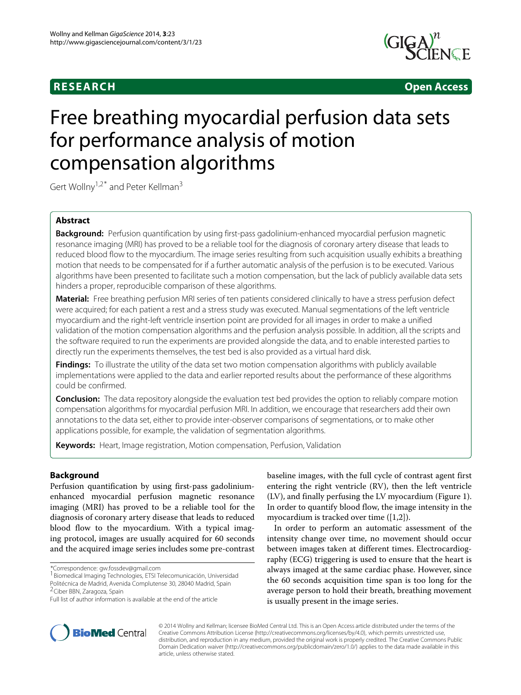

**RESEARCH Open Access**

# Free breathing myocardial perfusion data sets for performance analysis of motion compensation algorithms

Gert Wollny<sup>1,2\*</sup> and Peter Kellman<sup>3</sup>

# **Abstract**

**Background:** Perfusion quantification by using first-pass gadolinium-enhanced myocardial perfusion magnetic resonance imaging (MRI) has proved to be a reliable tool for the diagnosis of coronary artery disease that leads to reduced blood flow to the myocardium. The image series resulting from such acquisition usually exhibits a breathing motion that needs to be compensated for if a further automatic analysis of the perfusion is to be executed. Various algorithms have been presented to facilitate such a motion compensation, but the lack of publicly available data sets hinders a proper, reproducible comparison of these algorithms.

**Material:** Free breathing perfusion MRI series of ten patients considered clinically to have a stress perfusion defect were acquired; for each patient a rest and a stress study was executed. Manual segmentations of the left ventricle myocardium and the right-left ventricle insertion point are provided for all images in order to make a unified validation of the motion compensation algorithms and the perfusion analysis possible. In addition, all the scripts and the software required to run the experiments are provided alongside the data, and to enable interested parties to directly run the experiments themselves, the test bed is also provided as a virtual hard disk.

**Findings:** To illustrate the utility of the data set two motion compensation algorithms with publicly available implementations were applied to the data and earlier reported results about the performance of these algorithms could be confirmed.

**Conclusion:** The data repository alongside the evaluation test bed provides the option to reliably compare motion compensation algorithms for myocardial perfusion MRI. In addition, we encourage that researchers add their own annotations to the data set, either to provide inter-observer comparisons of segmentations, or to make other applications possible, for example, the validation of segmentation algorithms.

**Keywords:** Heart, Image registration, Motion compensation, Perfusion, Validation

# **Background**

Perfusion quantification by using first-pass gadoliniumenhanced myocardial perfusion magnetic resonance imaging (MRI) has proved to be a reliable tool for the diagnosis of coronary artery disease that leads to reduced blood flow to the myocardium. With a typical imaging protocol, images are usually acquired for 60 seconds and the acquired image series includes some pre-contrast

1Biomedical Imaging Technologies, ETSI Telecomunicación, Universidad Politécnica de Madrid, Avenida Complutense 30, 28040 Madrid, Spain

2Ciber BBN, Zaragoza, Spain

baseline images, with the full cycle of contrast agent first entering the right ventricle (RV), then the left ventricle (LV), and finally perfusing the LV myocardium (Figure [1\)](#page-1-0). In order to quantify blood flow, the image intensity in the myocardium is tracked over time ([\[1,](#page-7-0)[2\]](#page-7-1)).

In order to perform an automatic assessment of the intensity change over time, no movement should occur between images taken at different times. Electrocardiography (ECG) triggering is used to ensure that the heart is always imaged at the same cardiac phase. However, since the 60 seconds acquisition time span is too long for the average person to hold their breath, breathing movement is usually present in the image series.



© 2014 Wollny and Kellman; licensee BioMed Central Ltd. This is an Open Access article distributed under the terms of the Creative Commons Attribution License [\(http://creativecommons.org/licenses/by/4.0\)](http://creativecommons.org/licenses/by/4.0), which permits unrestricted use, distribution, and reproduction in any medium, provided the original work is properly credited. The Creative Commons Public Domain Dedication waiver [\(http://creativecommons.org/publicdomain/zero/1.0/\)](http://creativecommons.org/publicdomain/zero/1.0/) applies to the data made available in this article, unless otherwise stated.

<sup>\*</sup>Correspondence: [gw.fossdev@gmail.com](mailto: gw.fossdev@gmail.com)

Full list of author information is available at the end of the article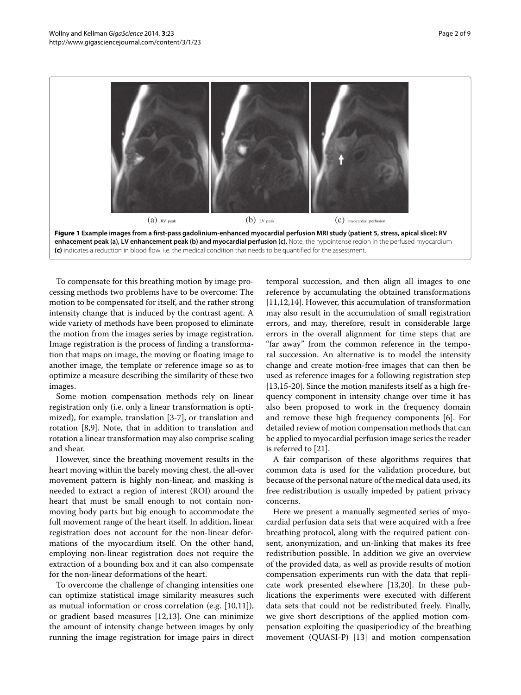

<span id="page-1-0"></span>To compensate for this breathing motion by image processing methods two problems have to be overcome: The motion to be compensated for itself, and the rather strong intensity change that is induced by the contrast agent. A wide variety of methods have been proposed to eliminate the motion from the images series by image registration. Image registration is the process of finding a transformation that maps on image, the moving or floating image to another image, the template or reference image so as to optimize a measure describing the similarity of these two images.

Some motion compensation methods rely on linear registration only (i.e. only a linear transformation is optimized), for example, translation [\[3-](#page-7-2)[7\]](#page-7-3), or translation and rotation [\[8](#page-7-4)[,9\]](#page-7-5). Note, that in addition to translation and rotation a linear transformation may also comprise scaling and shear.

However, since the breathing movement results in the heart moving within the barely moving chest, the all-over movement pattern is highly non-linear, and masking is needed to extract a region of interest (ROI) around the heart that must be small enough to not contain nonmoving body parts but big enough to accommodate the full movement range of the heart itself. In addition, linear registration does not account for the non-linear deformations of the myocardium itself. On the other hand, employing non-linear registration does not require the extraction of a bounding box and it can also compensate for the non-linear deformations of the heart.

To overcome the challenge of changing intensities one can optimize statistical image similarity measures such as mutual information or cross correlation (e.g. [\[10](#page-8-0)[,11\]](#page-8-1)), or gradient based measures [\[12](#page-8-2)[,13\]](#page-8-3). One can minimize the amount of intensity change between images by only running the image registration for image pairs in direct temporal succession, and then align all images to one reference by accumulating the obtained transformations [\[11,](#page-8-1)[12,](#page-8-2)[14\]](#page-8-4). However, this accumulation of transformation may also result in the accumulation of small registration errors, and may, therefore, result in considerable large errors in the overall alignment for time steps that are "far away" from the common reference in the temporal succession. An alternative is to model the intensity change and create motion-free images that can then be used as reference images for a following registration step [\[13,](#page-8-3)[15](#page-8-5)[-20\]](#page-8-6). Since the motion manifests itself as a high frequency component in intensity change over time it has also been proposed to work in the frequency domain and remove these high frequency components [\[6\]](#page-7-6). For detailed review of motion compensation methods that can be applied to myocardial perfusion image series the reader is referred to [\[21\]](#page-8-7).

A fair comparison of these algorithms requires that common data is used for the validation procedure, but because of the personal nature of the medical data used, its free redistribution is usually impeded by patient privacy concerns.

Here we present a manually segmented series of myocardial perfusion data sets that were acquired with a free breathing protocol, along with the required patient consent, anonymization, and un-linking that makes its free redistribution possible. In addition we give an overview of the provided data, as well as provide results of motion compensation experiments run with the data that replicate work presented elsewhere [\[13,](#page-8-3)[20\]](#page-8-6). In these publications the experiments were executed with different data sets that could not be redistributed freely. Finally, we give short descriptions of the applied motion compensation exploiting the quasiperiodicy of the breathing movement (QUASI-P) [\[13\]](#page-8-3) and motion compensation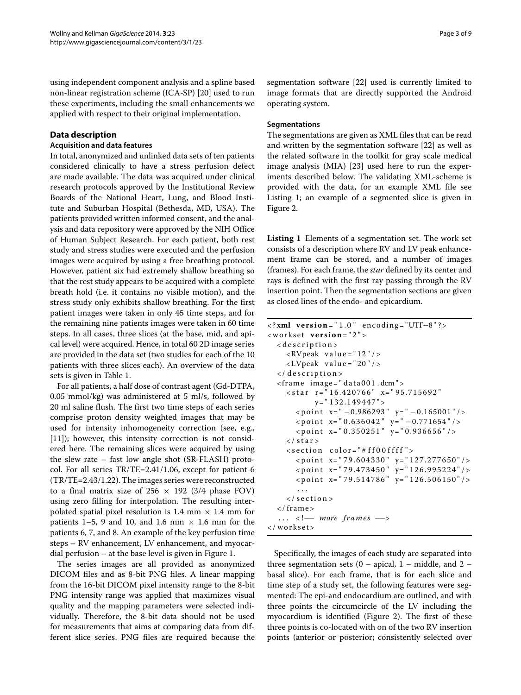using independent component analysis and a spline based non-linear registration scheme (ICA-SP) [\[20\]](#page-8-6) used to run these experiments, including the small enhancements we applied with respect to their original implementation.

# **Data description**

# **Acquisition and data features**

In total, anonymized and unlinked data sets of ten patients considered clinically to have a stress perfusion defect are made available. The data was acquired under clinical research protocols approved by the Institutional Review Boards of the National Heart, Lung, and Blood Institute and Suburban Hospital (Bethesda, MD, USA). The patients provided written informed consent, and the analysis and data repository were approved by the NIH Office of Human Subject Research. For each patient, both rest study and stress studies were executed and the perfusion images were acquired by using a free breathing protocol. However, patient six had extremely shallow breathing so that the rest study appears to be acquired with a complete breath hold (i.e. it contains no visible motion), and the stress study only exhibits shallow breathing. For the first patient images were taken in only 45 time steps, and for the remaining nine patients images were taken in 60 time steps. In all cases, three slices (at the base, mid, and apical level) were acquired. Hence, in total 60 2D image series are provided in the data set (two studies for each of the 10 patients with three slices each). An overview of the data sets is given in Table [1.](#page-3-0)

For all patients, a half dose of contrast agent (Gd-DTPA, 0.05 mmol/kg) was administered at 5 ml/s, followed by 20 ml saline flush. The first two time steps of each series comprise proton density weighted images that may be used for intensity inhomogeneity correction (see, e.g., [\[11\]](#page-8-1)); however, this intensity correction is not considered here. The remaining slices were acquired by using the slew rate – fast low angle shot (SR-FLASH) protocol. For all series TR/TE=2.41/1.06, except for patient 6 (TR/TE=2.43/1.22). The images series were reconstructed to a final matrix size of  $256 \times 192$  (3/4 phase FOV) using zero filling for interpolation. The resulting interpolated spatial pixel resolution is 1.4 mm  $\times$  1.4 mm for patients 1–5, 9 and 10, and 1.6 mm  $\times$  1.6 mm for the patients 6, 7, and 8. An example of the key perfusion time steps – RV enhancement, LV enhancement, and myocardial perfusion – at the base level is given in Figure [1.](#page-1-0)

The series images are all provided as anonymized DICOM files and as 8-bit PNG files. A linear mapping from the 16-bit DICOM pixel intensity range to the 8-bit PNG intensity range was applied that maximizes visual quality and the mapping parameters were selected individually. Therefore, the 8-bit data should not be used for measurements that aims at comparing data from different slice series. PNG files are required because the

segmentation software [\[22\]](#page-8-8) used is currently limited to image formats that are directly supported the Android operating system.

#### **Segmentations**

The segmentations are given as XML files that can be read and written by the segmentation software [\[22\]](#page-8-8) as well as the related software in the toolkit for gray scale medical image analysis (MIA) [\[23\]](#page-8-9) used here to run the experiments described below. The validating XML-scheme is provided with the data, for an example XML file see Listing [1;](#page-2-0) an example of a segmented slice is given in Figure [2.](#page-3-1)

<span id="page-2-0"></span>**Listing 1** Elements of a segmentation set. The work set consists of a description where RV and LV peak enhancement frame can be stored, and a number of images (frames). For each frame, the *star* defined by its center and rays is defined with the first ray passing through the RV insertion point. Then the segmentation sections are given as closed lines of the endo- and epicardium.

```
< ? xml vers ion= " 1 . 0 " enc oding = "UTF−8" ?>
<workset version="2">
  <description>
    \langleRVpeak value="12"/>
    \langleLVpeak value="20"/>
  </ description>
  \langle frame image="data001.dcm">
    \text{16.420766} x="95.715692"
           y = " 132.149447" >\frac{1}{\pi} x=" -0.986293" y=" -0.165001" />
       <point x= " 0.636042 " y= " −0.771654 " />
       <point x="0.350251" y="0.936656"/>
    \langle/star\rangle\leq section color="#ff00ffff">
       <point x="79.604330" y="127.277650"/>
       <point x= " 79.473450 " y= " 126.995224 " />
       <point x="79.514786" y="126.506150"/>
       ...
    </ section>
  </ frame>
   ... <!— more frames —>
</ workset>
```
Specifically, the images of each study are separated into three segmentation sets  $(0 -$  apical,  $1 -$  middle, and  $2$ basal slice). For each frame, that is for each slice and time step of a study set, the following features were segmented: The epi-and endocardium are outlined, and with three points the circumcircle of the LV including the myocardium is identified (Figure [2\)](#page-3-1). The first of these three points is co-located with on of the two RV insertion points (anterior or posterior; consistently selected over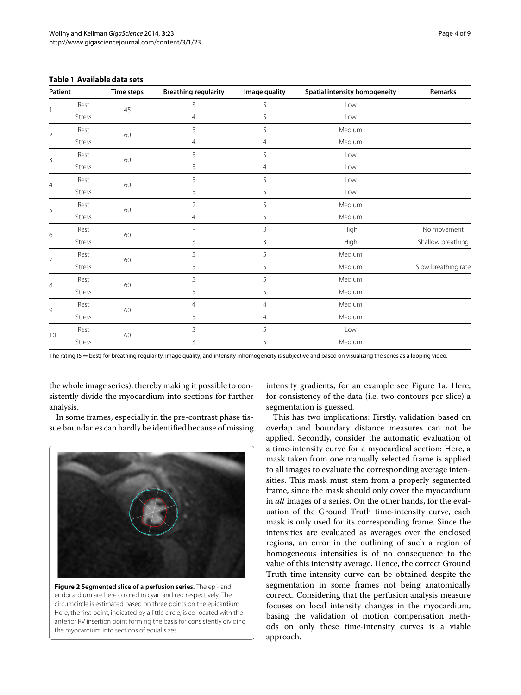<span id="page-3-0"></span>

| <b>Patient</b> |               | <b>Time steps</b> | <b>Breathing regularity</b> | Image quality  | <b>Spatial intensity homogeneity</b> | Remarks             |  |
|----------------|---------------|-------------------|-----------------------------|----------------|--------------------------------------|---------------------|--|
|                | Rest          | 45                | 3                           | 5              | Low                                  |                     |  |
|                | Stress        |                   | 4                           | 5              | Low                                  |                     |  |
| $\overline{2}$ | Rest          | 60                | 5                           | 5              | Medium                               |                     |  |
|                | Stress        |                   | 4                           | $\overline{4}$ | Medium                               |                     |  |
| $\overline{3}$ | Rest          | 60                | 5                           | 5              | Low                                  |                     |  |
|                | Stress        |                   | 5                           | 4              | Low                                  |                     |  |
| $\overline{4}$ | Rest          | 60                | 5                           | 5              | Low                                  |                     |  |
|                | Stress        |                   | 5                           | 5              | Low                                  |                     |  |
| 5              | Rest          | 60                | $\overline{2}$              | 5              | Medium                               |                     |  |
|                | Stress        |                   | 4                           | 5              | Medium                               |                     |  |
| 6              | Rest          | 60                |                             | 3              | High                                 | No movement         |  |
|                | Stress        |                   | 3                           | 3              | High                                 | Shallow breathing   |  |
| $\overline{7}$ | Rest          | 60                | 5                           | 5              | Medium                               |                     |  |
|                | <b>Stress</b> |                   | 5                           | 5              | Medium                               | Slow breathing rate |  |
| 8              |               | Rest              | 60                          | 5              | 5                                    | Medium              |  |
|                | <b>Stress</b> |                   | 5                           | 5              | Medium                               |                     |  |
| 9              | Rest          | 60                | $\overline{4}$              | 4              | Medium                               |                     |  |
|                | Stress        |                   | 5                           | 4              | Medium                               |                     |  |
| 10             | Rest          | 60                | 3                           | 5              | Low                                  |                     |  |
|                | <b>Stress</b> |                   | 3                           | 5              | Medium                               |                     |  |

The rating (5 = best) for breathing regularity, image quality, and intensity inhomogeneity is subjective and based on visualizing the series as a looping video.

the whole image series), thereby making it possible to consistently divide the myocardium into sections for further analysis.

In some frames, especially in the pre-contrast phase tissue boundaries can hardly be identified because of missing

<span id="page-3-1"></span>

**Figure 2 Segmented slice of a perfusion series.** The epi- and endocardium are here colored in cyan and red respectively. The circumcircle is estimated based on three points on the epicardium. Here, the first point, indicated by a little circle, is co-located with the anterior RV insertion point forming the basis for consistently dividing the myocardium into sections of equal sizes.

intensity gradients, for an example see Figure [1a](#page-1-0). Here, for consistency of the data (i.e. two contours per slice) a segmentation is guessed.

This has two implications: Firstly, validation based on overlap and boundary distance measures can not be applied. Secondly, consider the automatic evaluation of a time-intensity curve for a myocardical section: Here, a mask taken from one manually selected frame is applied to all images to evaluate the corresponding average intensities. This mask must stem from a properly segmented frame, since the mask should only cover the myocardium in *all* images of a series. On the other hands, for the evaluation of the Ground Truth time-intensity curve, each mask is only used for its corresponding frame. Since the intensities are evaluated as averages over the enclosed regions, an error in the outlining of such a region of homogeneous intensities is of no consequence to the value of this intensity average. Hence, the correct Ground Truth time-intensity curve can be obtained despite the segmentation in some frames not being anatomically correct. Considering that the perfusion analysis measure focuses on local intensity changes in the myocardium, basing the validation of motion compensation methods on only these time-intensity curves is a viable approach.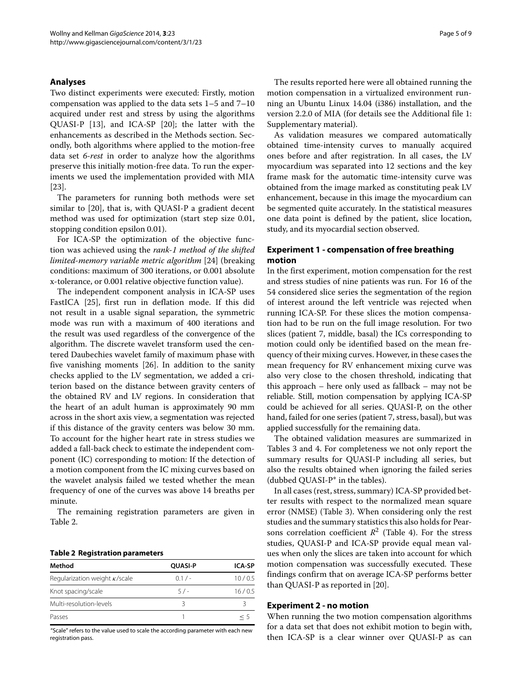#### **Analyses**

Two distinct experiments were executed: Firstly, motion compensation was applied to the data sets 1–5 and 7–10 acquired under rest and stress by using the algorithms QUASI-P [\[13\]](#page-8-3), and ICA-SP [\[20\]](#page-8-6); the latter with the enhancements as described in the [Methods](#page-6-0) section. Secondly, both algorithms where applied to the motion-free data set *6-rest* in order to analyze how the algorithms preserve this initially motion-free data. To run the experiments we used the implementation provided with MIA [\[23\]](#page-8-9).

The parameters for running both methods were set similar to [\[20\]](#page-8-6), that is, with QUASI-P a gradient decent method was used for optimization (start step size 0.01, stopping condition epsilon 0.01).

For ICA-SP the optimization of the objective function was achieved using the *rank-1 method of the shifted limited-memory variable metric algorithm* [\[24\]](#page-8-10) (breaking conditions: maximum of 300 iterations, or 0.001 absolute x-tolerance, or 0.001 relative objective function value).

The independent component analysis in ICA-SP uses FastICA [\[25\]](#page-8-11), first run in deflation mode. If this did not result in a usable signal separation, the symmetric mode was run with a maximum of 400 iterations and the result was used regardless of the convergence of the algorithm. The discrete wavelet transform used the centered Daubechies wavelet family of maximum phase with five vanishing moments [\[26\]](#page-8-12). In addition to the sanity checks applied to the LV segmentation, we added a criterion based on the distance between gravity centers of the obtained RV and LV regions. In consideration that the heart of an adult human is approximately 90 mm across in the short axis view, a segmentation was rejected if this distance of the gravity centers was below 30 mm. To account for the higher heart rate in stress studies we added a fall-back check to estimate the independent component (IC) corresponding to motion: If the detection of a motion component from the IC mixing curves based on the wavelet analysis failed we tested whether the mean frequency of one of the curves was above 14 breaths per minute.

The remaining registration parameters are given in Table [2.](#page-4-0)

<span id="page-4-0"></span>

|  | <b>Table 2 Registration parameters</b> |  |
|--|----------------------------------------|--|
|--|----------------------------------------|--|

| Method                                | <b>OUASI-P</b> | <b>ICA-SP</b> |
|---------------------------------------|----------------|---------------|
| Regularization weight $\kappa$ /scale | $0.1/-$        | 10/0.5        |
| Knot spacing/scale                    | 5/             | 16/0.5        |
| Multi-resolution-levels               |                |               |
| Passes                                |                | ≤ 5           |

"Scale" refers to the value used to scale the according parameter with each new registration pass.

The results reported here were all obtained running the motion compensation in a virtualized environment running an Ubuntu Linux 14.04 (i386) installation, and the version 2.2.0 of MIA (for details see the Additional file [1:](#page-7-7) Supplementary material).

As validation measures we compared automatically obtained time-intensity curves to manually acquired ones before and after registration. In all cases, the LV myocardium was separated into 12 sections and the key frame mask for the automatic time-intensity curve was obtained from the image marked as constituting peak LV enhancement, because in this image the myocardium can be segmented quite accurately. In the statistical measures one data point is defined by the patient, slice location, study, and its myocardial section observed.

# **Experiment 1 - compensation of free breathing motion**

In the first experiment, motion compensation for the rest and stress studies of nine patients was run. For 16 of the 54 considered slice series the segmentation of the region of interest around the left ventricle was rejected when running ICA-SP. For these slices the motion compensation had to be run on the full image resolution. For two slices (patient 7, middle, basal) the ICs corresponding to motion could only be identified based on the mean frequency of their mixing curves. However, in these cases the mean frequency for RV enhancement mixing curve was also very close to the chosen threshold, indicating that this approach – here only used as fallback – may not be reliable. Still, motion compensation by applying ICA-SP could be achieved for all series. QUASI-P, on the other hand, failed for one series (patient 7, stress, basal), but was applied successfully for the remaining data.

The obtained validation measures are summarized in Tables [3](#page-5-0) and [4.](#page-5-1) For completeness we not only report the summary results for QUASI-P including all series, but also the results obtained when ignoring the failed series (dubbed QUASI-P∗ in the tables).

In all cases (rest, stress, summary) ICA-SP provided better results with respect to the normalized mean square error (NMSE) (Table [3\)](#page-5-0). When considering only the rest studies and the summary statistics this also holds for Pearsons correlation coefficient  $R^2$  (Table [4\)](#page-5-1). For the stress studies, QUASI-P and ICA-SP provide equal mean values when only the slices are taken into account for which motion compensation was successfully executed. These findings confirm that on average ICA-SP performs better than QUASI-P as reported in [\[20\]](#page-8-6).

#### **Experiment 2 - no motion**

When running the two motion compensation algorithms for a data set that does not exhibit motion to begin with, then ICA-SP is a clear winner over QUASI-P as can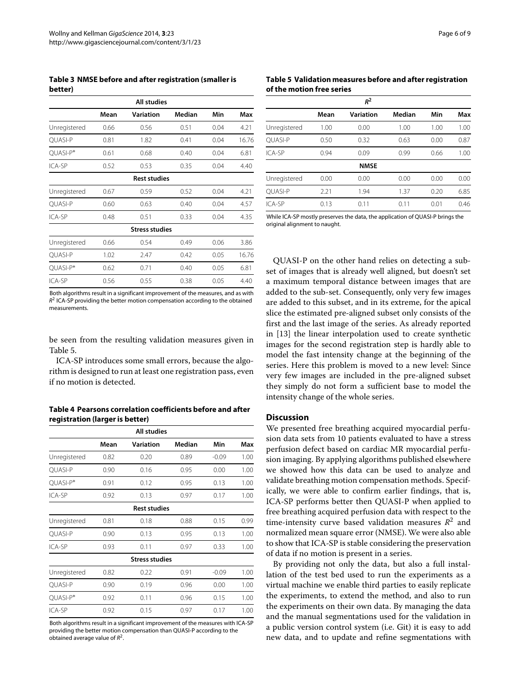<span id="page-5-0"></span>**Table 3 NMSE before and after registration (smaller is better)**

|              |      | All studies           |        |      |       |
|--------------|------|-----------------------|--------|------|-------|
|              | Mean | Variation             | Median | Min  | Max   |
| Unregistered | 0.66 | 0.56                  | 0.51   | 0.04 | 4.21  |
| QUASI-P      | 0.81 | 1.82                  | 0.41   | 0.04 | 16.76 |
| QUASI-P*     | 0.61 | 0.68                  | 0.40   | 0.04 | 6.81  |
| ICA-SP       | 0.52 | 0.53                  | 0.35   | 0.04 | 4.40  |
|              |      | <b>Rest studies</b>   |        |      |       |
| Unregistered | 0.67 | 0.59                  | 0.52   | 0.04 | 4.21  |
| QUASI-P      | 0.60 | 0.63                  | 0.40   | 0.04 | 4.57  |
| ICA-SP       | 0.48 | 0.51                  | 0.33   | 0.04 | 4.35  |
|              |      | <b>Stress studies</b> |        |      |       |
| Unregistered | 0.66 | 0.54                  | 0.49   | 0.06 | 3.86  |
| QUASI-P      | 1.02 | 2.47                  | 0.42   | 0.05 | 16.76 |
| OUASI-P*     | 0.62 | 0.71                  | 0.40   | 0.05 | 6.81  |
| ICA-SP       | 0.56 | 0.55                  | 0.38   | 0.05 | 4.40  |

Both algorithms result in a significant improvement of the measures, and as with *R*<sup>2</sup> ICA-SP providing the better motion compensation according to the obtained measurements.

be seen from the resulting validation measures given in Table [5.](#page-5-2)

ICA-SP introduces some small errors, because the algorithm is designed to run at least one registration pass, even if no motion is detected.

<span id="page-5-1"></span>**Table 4 Pearsons correlation coefficients before and after registration (larger is better)**

|              |      | <b>All studies</b>    |        |         |      |
|--------------|------|-----------------------|--------|---------|------|
|              | Mean | Variation             | Median | Min     | Max  |
| Unregistered | 0.82 | 0.20                  | 0.89   | $-0.09$ | 1.00 |
| QUASI-P      | 0.90 | 0.16                  | 0.95   | 0.00    | 1.00 |
| QUASI-P*     | 0.91 | 0.12                  | 0.95   | 0.13    | 1.00 |
| ICA-SP       | 0.92 | 0.13                  | 0.97   | 0.17    | 1.00 |
|              |      | <b>Rest studies</b>   |        |         |      |
| Unregistered | 0.81 | 0.18                  | 0.88   | 0.15    | 0.99 |
| QUASI-P      | 0.90 | 0.13                  | 0.95   | 0.13    | 1.00 |
| ICA-SP       | 0.93 | 0.11                  | 0.97   | 0.33    | 1.00 |
|              |      | <b>Stress studies</b> |        |         |      |
| Unregistered | 0.82 | 0.22                  | 0.91   | $-0.09$ | 1.00 |
| QUASI-P      | 0.90 | 0.19                  | 0.96   | 0.00    | 1.00 |
| QUASI-P*     | 0.92 | 0.11                  | 0.96   | 0.15    | 1.00 |
| ICA-SP       | 0.92 | 0.15                  | 0.97   | 0.17    | 1.00 |

Both algorithms result in a significant improvement of the measures with ICA-SP providing the better motion compensation than QUASI-P according to the obtained average value of *<sup>R</sup>*2.

#### <span id="page-5-2"></span>**Table 5 Validation measures before and after registration of the motion free series**

|              |      | $R^2$       |        |      |      |
|--------------|------|-------------|--------|------|------|
|              | Mean | Variation   | Median | Min  | Max  |
| Unregistered | 1.00 | 0.00        | 1.00   | 1.00 | 1.00 |
| QUASI-P      | 0.50 | 0.32        | 0.63   | 0.00 | 0.87 |
| $ICA-SP$     | 0.94 | 0.09        | 0.99   | 0.66 | 1.00 |
|              |      | <b>NMSE</b> |        |      |      |
| Unregistered | 0.00 | 0.00        | 0.00   | 0.00 | 0.00 |
| QUASI-P      | 2.21 | 1.94        | 1.37   | 0.20 | 6.85 |
| ICA-SP       | 0.13 | 0.11        | 011    | 0.01 | 0.46 |

While ICA-SP mostly preserves the data, the application of QUASI-P brings the original alignment to naught.

QUASI-P on the other hand relies on detecting a subset of images that is already well aligned, but doesn't set a maximum temporal distance between images that are added to the sub-set. Consequently, only very few images are added to this subset, and in its extreme, for the apical slice the estimated pre-aligned subset only consists of the first and the last image of the series. As already reported in [\[13\]](#page-8-3) the linear interpolation used to create synthetic images for the second registration step is hardly able to model the fast intensity change at the beginning of the series. Here this problem is moved to a new level: Since very few images are included in the pre-aligned subset they simply do not form a sufficient base to model the intensity change of the whole series.

# **Discussion**

We presented free breathing acquired myocardial perfusion data sets from 10 patients evaluated to have a stress perfusion defect based on cardiac MR myocardial perfusion imaging. By applying algorithms published elsewhere we showed how this data can be used to analyze and validate breathing motion compensation methods. Specifically, we were able to confirm earlier findings, that is, ICA-SP performs better then QUASI-P when applied to free breathing acquired perfusion data with respect to the time-intensity curve based validation measures  $R^2$  and normalized mean square error (NMSE). We were also able to show that ICA-SP is stable considering the preservation of data if no motion is present in a series.

By providing not only the data, but also a full installation of the test bed used to run the experiments as a virtual machine we enable third parties to easily replicate the experiments, to extend the method, and also to run the experiments on their own data. By managing the data and the manual segmentations used for the validation in a public version control system (i.e. Git) it is easy to add new data, and to update and refine segmentations with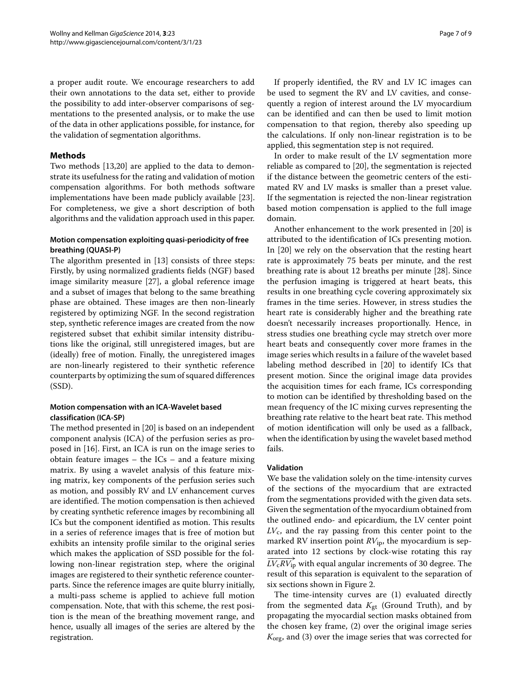a proper audit route. We encourage researchers to add their own annotations to the data set, either to provide the possibility to add inter-observer comparisons of segmentations to the presented analysis, or to make the use of the data in other applications possible, for instance, for the validation of segmentation algorithms.

# <span id="page-6-0"></span>**Methods**

Two methods [\[13,](#page-8-3)[20\]](#page-8-6) are applied to the data to demonstrate its usefulness for the rating and validation of motion compensation algorithms. For both methods software implementations have been made publicly available [\[23\]](#page-8-9). For completeness, we give a short description of both algorithms and the validation approach used in this paper.

# **Motion compensation exploiting quasi-periodicity of free breathing (QUASI-P)**

The algorithm presented in [\[13\]](#page-8-3) consists of three steps: Firstly, by using normalized gradients fields (NGF) based image similarity measure [\[27\]](#page-8-13), a global reference image and a subset of images that belong to the same breathing phase are obtained. These images are then non-linearly registered by optimizing NGF. In the second registration step, synthetic reference images are created from the now registered subset that exhibit similar intensity distributions like the original, still unregistered images, but are (ideally) free of motion. Finally, the unregistered images are non-linearly registered to their synthetic reference counterparts by optimizing the sum of squared differences (SSD).

# **Motion compensation with an ICA-Wavelet based classification (ICA-SP)**

The method presented in [\[20\]](#page-8-6) is based on an independent component analysis (ICA) of the perfusion series as proposed in [\[16\]](#page-8-14). First, an ICA is run on the image series to obtain feature images  $-$  the ICs  $-$  and a feature mixing matrix. By using a wavelet analysis of this feature mixing matrix, key components of the perfusion series such as motion, and possibly RV and LV enhancement curves are identified. The motion compensation is then achieved by creating synthetic reference images by recombining all ICs but the component identified as motion. This results in a series of reference images that is free of motion but exhibits an intensity profile similar to the original series which makes the application of SSD possible for the following non-linear registration step, where the original images are registered to their synthetic reference counterparts. Since the reference images are quite blurry initially, a multi-pass scheme is applied to achieve full motion compensation. Note, that with this scheme, the rest position is the mean of the breathing movement range, and hence, usually all images of the series are altered by the registration.

If properly identified, the RV and LV IC images can be used to segment the RV and LV cavities, and consequently a region of interest around the LV myocardium can be identified and can then be used to limit motion compensation to that region, thereby also speeding up the calculations. If only non-linear registration is to be applied, this segmentation step is not required.

In order to make result of the LV segmentation more reliable as compared to [\[20\]](#page-8-6), the segmentation is rejected if the distance between the geometric centers of the estimated RV and LV masks is smaller than a preset value. If the segmentation is rejected the non-linear registration based motion compensation is applied to the full image domain.

Another enhancement to the work presented in [\[20\]](#page-8-6) is attributed to the identification of ICs presenting motion. In [\[20\]](#page-8-6) we rely on the observation that the resting heart rate is approximately 75 beats per minute, and the rest breathing rate is about 12 breaths per minute [\[28\]](#page-8-15). Since the perfusion imaging is triggered at heart beats, this results in one breathing cycle covering approximately six frames in the time series. However, in stress studies the heart rate is considerably higher and the breathing rate doesn't necessarily increases proportionally. Hence, in stress studies one breathing cycle may stretch over more heart beats and consequently cover more frames in the image series which results in a failure of the wavelet based labeling method described in [\[20\]](#page-8-6) to identify ICs that present motion. Since the original image data provides the acquisition times for each frame, ICs corresponding to motion can be identified by thresholding based on the mean frequency of the IC mixing curves representing the breathing rate relative to the heart beat rate. This method of motion identification will only be used as a fallback, when the identification by using the wavelet based method fails.

# **Validation**

We base the validation solely on the time-intensity curves of the sections of the myocardium that are extracted from the segmentations provided with the given data sets. Given the segmentation of the myocardium obtained from the outlined endo- and epicardium, the LV center point *LV*c, and the ray passing from this center point to the marked RV insertion point *RV*ip, the myocardium is separated into 12 sections by clock-wise rotating this ray  $\overrightarrow{LV_{c}RV_{ip}}$  with equal angular increments of 30 degree. The result of this separation is equivalent to the separation of six sections shown in Figure [2.](#page-3-1)

The time-intensity curves are (1) evaluated directly from the segmented data  $K_{gt}$  (Ground Truth), and by propagating the myocardial section masks obtained from the chosen key frame, (2) over the original image series *K*org, and (3) over the image series that was corrected for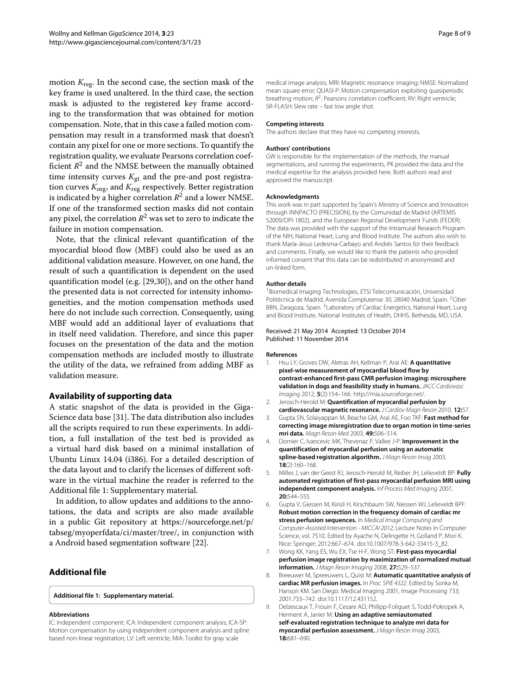motion *K*reg. In the second case, the section mask of the key frame is used unaltered. In the third case, the section mask is adjusted to the registered key frame according to the transformation that was obtained for motion compensation. Note, that in this case a failed motion compensation may result in a transformed mask that doesn't contain any pixel for one or more sections. To quantify the registration quality, we evaluate Pearsons correlation coefficient  $R^2$  and the NMSE between the manually obtained time intensity curves  $K_{gt}$  and the pre-and post registration curves  $K_{\text{org}}$ , and  $K_{\text{reg}}$  respectively. Better registration is indicated by a higher correlation  $R^2$  and a lower NMSE. If one of the transformed section masks did not contain any pixel, the correlation  $R^2$  was set to zero to indicate the failure in motion compensation.

Note, that the clinical relevant quantification of the myocardial blood flow (MBF) could also be used as an additional validation measure. However, on one hand, the result of such a quantification is dependent on the used quantification model (e.g. [\[29](#page-8-16)[,30\]](#page-8-17)), and on the other hand the presented data is not corrected for intensity inhomogeneities, and the motion compensation methods used here do not include such correction. Consequently, using MBF would add an additional layer of evaluations that in itself need validation. Therefore, and since this paper focuses on the presentation of the data and the motion compensation methods are included mostly to illustrate the utility of the data, we refrained from adding MBF as validation measure.

# **Availability of supporting data**

A static snapshot of the data is provided in the Giga-Science data base [\[31\]](#page-8-18). The data distribution also includes all the scripts required to run these experiments. In addition, a full installation of the test bed is provided as a virtual hard disk based on a minimal installation of Ubuntu Linux 14.04 (i386). For a detailed description of the data layout and to clarify the licenses of different software in the virtual machine the reader is referred to the Additional file [1:](#page-7-7) Supplementary material.

In addition, to allow updates and additions to the annotations, the data and scripts are also made available in a public Git repository at [https://sourceforge.net/p/](https://sourceforge.net/p/tabseg/myoperfdata/ci/master/tree/) [tabseg/myoperfdata/ci/master/tree/,](https://sourceforge.net/p/tabseg/myoperfdata/ci/master/tree/) in conjunction with a Android based segmentation software [\[22\]](#page-8-8).

# **Additional file**

<span id="page-7-7"></span>**[Additional file 1:](http://www.biomedcentral.com/content/supplementary/2047-217X-3-23-S1.pdf) Supplementary material.**

#### **Abbreviations**

IC: Independent component; ICA: Independent component analysis; ICA-SP: Motion compensation by using independent component analysis and spline based non-linear registration; LV: Left ventricle; MIA: Toolkit for gray scale

medical image analysis; MRI: Magnetic resonance imaging; NMSE: Normalized mean square error; QUASI-P: Motion compensation exploiting quasiperiodic breathing motion;  $R^2$ : Pearsons correlation coefficient; RV: Right ventricle; SR-FLASH: Slew rate – fast low angle shot.

#### **Competing interests**

The authors declare that they have no competing interests.

#### **Authors' contributions**

GW is responsible for the implementation of the methods, the manual segmentations, and running the experiments, PK provided the data and the medical expertise for the analysis provided here. Both authors read and approved the manuscript.

#### **Acknowledgments**

This work was in part supported by Spain's Ministry of Science and Innovation through INNPACTO (PRECISION), by the Comunidad de Madrid (ARTEMIS S2009/DPI-1802), and the European Regional Development Funds (FEDER). The data was provided with the support of the Intramural Research Program of the NIH, National Heart, Lung and Blood Institute. The authors also wish to thank María-Jesus Ledesma-Carbayo and Andrés Santos for their feedback and comments. Finally, we would like to thank the patients who provided informed consent that this data can be redistributed in anonymized and un-linked form.

#### **Author details**

1Biomedical Imaging Technologies, ETSI Telecomunicación, Universidad Politécnica de Madrid, Avenida Complutense 30, 28040 Madrid, Spain. <sup>2</sup>Ciber BBN, Zaragoza, Spain. <sup>3</sup> Laboratory of Cardiac Energetics, National Heart, Lung and Blood Institute, National Institutes of Health, DHHS, Bethesda, MD, USA.

#### Received: 21 May 2014 Accepted: 13 October 2014 Published: 11 November 2014

#### **References**

- <span id="page-7-0"></span>1. Hsu LY, Groves DW, Aletras AH, Kellman P, Arai AE: **A quantitative pixel-wise measurement of myocardial blood flow by contrast-enhanced first-pass CMR perfusion imaging: microsphere validation in dogs and feasibility study in humans.** *JACC Cardiovasc Imaging* 2012, **5**(2):154–166. [http://mia.sourceforge.net/.](http://mia.sourceforge.net/)
- <span id="page-7-1"></span>2. Jerosch-Herold M: **Quantification of myocardial perfusion by cardiovascular magnetic resonance.** *J Cardiov Magn Reson* 2010, **12:**57.
- <span id="page-7-2"></span>3. Gupta SN, Solaiyappan M, Beache GM, Arai AE, Foo TKF: **Fast method for correcting image misregistration due to organ motion in time-series mri data.** *Magn Reson Med* 2003, **49:**506–514.
- 4. Dornier C, Ivancevic MK, Thevenaz P, Vallee J-P: **Improvement in the quantification of myocardial perfusion using an automatic spline-based registration algorithm.** *J Magn Reson Imag* 2003, **18**(2):160–168.
- 5. Milles J, van der Geest RJ, Jerosch-Herold M, Reiber JH, Lelieveldt BP: **Fully automated registration of first-pass myocardial perfusion MRI using independent component analysis.** *Inf Process Med Imaging* 2007, **20:**544–555.
- <span id="page-7-6"></span>6. Gupta V, Giessen M, Kirisli H, Kirschbaum SW, Niessen WJ, Lelieveldt BPF: **Robust motion correction in the frequency domain of cardiac mr stress perfusion sequences.** In *Medical Image Computing and Computer-Assisted Intervention - MICCAI 2012,* Lecture Notes in Computer Science, vol. 7510. Edited by Ayache N, Delingette H, Golland P, Mori K. Nice: Springer; 2012:667–674. doi:10.1007/978-3-642-33415-3\_82.
- <span id="page-7-3"></span>7. Wong KK, Yang ES, Wu EX, Tse H-F, Wong ST: **First-pass myocardial perfusion image registration by maximization of normalized mutual information.** *J Magn Reson Imaging* 2008, **27:**529–537.
- <span id="page-7-4"></span>8. Breeuwer M, Spreeuwers L, Quist M: **Automatic quantitative analysis of cardiac MR perfusion images.** In *Proc. SPIE 4322*. Edited by Sonka M, Hanson KM. San Diego: Medical Imaging 2001, Image Processing 733; 2001:733–742. doi:10.1117/12.431152.
- <span id="page-7-5"></span>9. Delzescaux T, Frouin F, Cesare AD, Philipp-Foliguet S, Todd-Pokropek A, Herment A, Janier M: **Using an adaptive semiautomated self-evaluated registration technique to analyze mri data for myocardial perfusion assessment.** *J Magn Reson Imag* 2003, **18:**681–690.